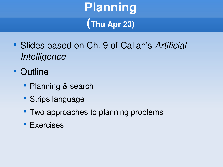# **Planning (Thu Apr 23)**

- Slides based on Ch. 9 of Callan's *Artificial Intelligence*
- **Outline** 
	- Planning & search
	- **Strips language**
	- Two approaches to planning problems
	- **Exercises**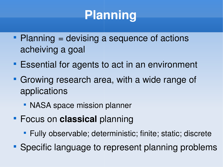# **Planning**

- $\blacksquare$  Planning = devising a sequence of actions acheiving a goal
- **Essential for agents to act in an environment**
- Growing research area, with a wide range of applications
	- **NASA space mission planner**
- Focus on **classical** planning
	- **Fully observable; deterministic; finite; static; discrete**
- **Specific language to represent planning problems**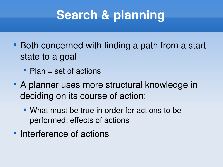# **Search & planning**

- **Both concerned with finding a path from a start** state to a goal
	- Plan = set of actions
- A planner uses more structural knowledge in deciding on its course of action:
	- **What must be true in order for actions to be** performed; effects of actions
- **Interference of actions**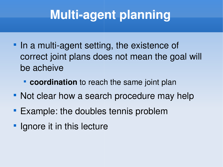# **Multi-agent planning**

- In a multi-agent setting, the existence of correct joint plans does not mean the goal will be acheive
	- **Coordination** to reach the same joint plan
- Not clear how a search procedure may help
- **Example: the doubles tennis problem**
- **If** Ignore it in this lecture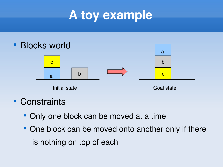# **A toy example**



**Constraints** 

- Only one block can be moved at a time
- One block can be moved onto another only if there is nothing on top of each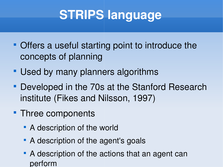# **STRIPS language**

- Offers a useful starting point to introduce the concepts of planning
- **Used by many planners algorithms**
- **Developed in the 70s at the Stanford Research** institute (Fikes and Nilsson, 1997)
- Three components
	- **A** description of the world
	- **A description of the agent's goals**
	- A description of the actions that an agent can perform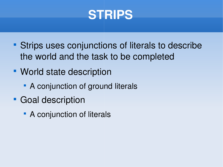#### **STRIPS**

- **Strips uses conjunctions of literals to describe** the world and the task to be completed
- World state description
	- **A** conjunction of ground literals
- **Goal description** 
	- **A** conjunction of literals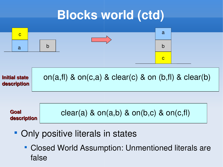#### **Blocks world (ctd)**



- Only positive literals in states
	- Closed World Assumption: Unmentioned literals are false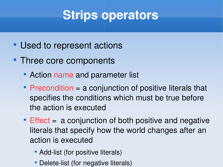## **Strips operators**

- **Used to represent actions**
- Three core components
	- **Action name and parameter list**
	- Precondition = a conjunction of positive literals that specifies the conditions which must be true before the action is executed
	- **Effect = a conjunction of both positive and negative** literals that specify how the world changes after an action is executed
		- Add-list (for positive literals)
		- Delete-list (for negative literals)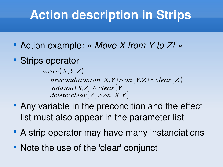## **Action description in Strips**

- Action example: *« Move X from Y to Z! »*
- **Strips operator**

 $precondition: on(X, Y) \wedge on(Y, Z) \wedge clear(Z)$  $\overline{add:on(X,Z)} \wedge \overline{clear(Y)}$  $\textit{delete:} clear(Z \wedge on(X, Y))$  $move(X, Y, Z)$ 

- Any variable in the precondition and the effect list must also appear in the parameter list
- A strip operator may have many instanciations
- Note the use of the 'clear' conjunct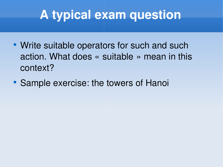## **A typical exam question**

- **Write suitable operators for such and such** action. What does « suitable » mean in this context?
- **Sample exercise: the towers of Hanoi**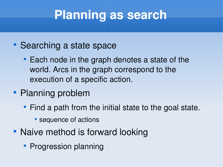## **Planning as search**

- **Searching a state space** 
	- **Each node in the graph denotes a state of the** world. Arcs in the graph correspond to the execution of a specific action.
- Planning problem
	- **Find a path from the initial state to the goal state.** 
		- **Sequence of actions**
- Naive method is forward looking
	- **Progression planning**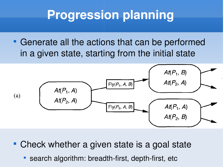## **Progression planning**

 Generate all the actions that can be performed in a given state, starting from the initial state



Check whether a given state is a goal state

• search algorithm: breadth-first, depth-first, etc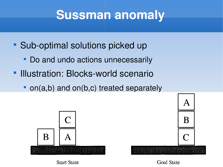#### **Sussman anomaly**

- Sub-optimal solutions picked up
	- Do and undo actions unnecessarily
- **Illustration: Blocks-world scenario** 
	- on(a,b) and on(b,c) treated separately





**Start State** 

Goal State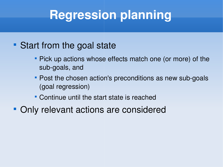## **Regression planning**

#### • Start from the goal state

- Pick up actions whose effects match one (or more) of the sub-goals, and
- Post the chosen action's preconditions as new sub-goals (goal regression)
- Continue until the start state is reached
- Only relevant actions are considered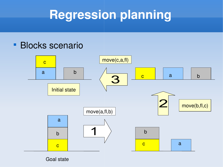## **Regression planning**

#### **Blocks scenario**



Goal state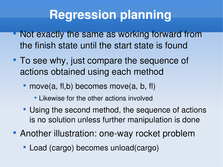### **Regression planning**

- **Not exactly the same as working forward from** the finish state until the start state is found
- To see why, just compare the sequence of actions obtained using each method
	- move(a, fl,b) becomes move(a, b, fl)
		- Likewise for the other actions involved
	- **Using the second method, the sequence of actions** is no solution unless further manipulation is done
- **Another illustration: one-way rocket problem** 
	- Load (cargo) becomes unload(cargo)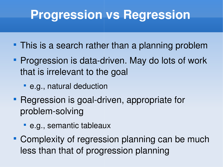#### **Progression vs Regression**

- **This is a search rather than a planning problem**
- Progression is data-driven. May do lots of work that is irrelevant to the goal
	- e.g., natural deduction
- Regression is goal-driven, appropriate for problem-solving
	- e.g., semantic tableaux
- **Complexity of regression planning can be much** less than that of progression planning